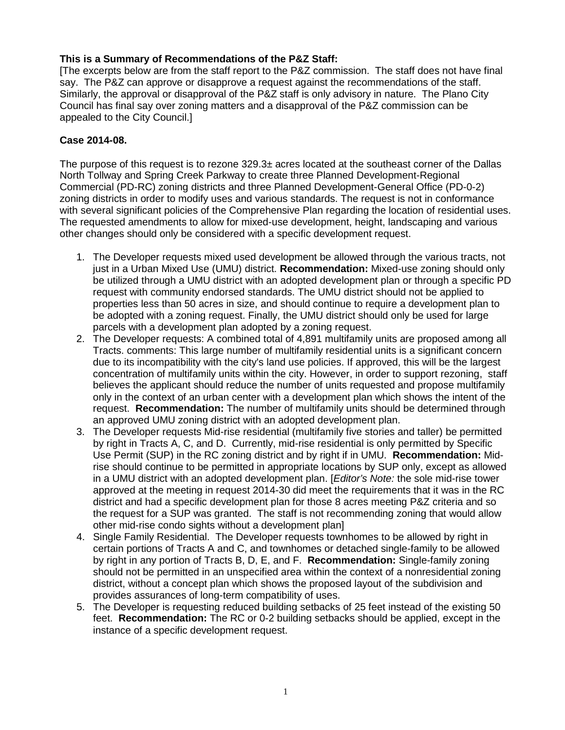## **This is a Summary of Recommendations of the P&Z Staff:**

[The excerpts below are from the staff report to the P&Z commission. The staff does not have final say. The P&Z can approve or disapprove a request against the recommendations of the staff. Similarly, the approval or disapproval of the P&Z staff is only advisory in nature. The Plano City Council has final say over zoning matters and a disapproval of the P&Z commission can be appealed to the City Council.]

## **Case 2014-08.**

The purpose of this request is to rezone  $329.3\pm$  acres located at the southeast corner of the Dallas North Tollway and Spring Creek Parkway to create three Planned Development-Regional Commercial (PD-RC) zoning districts and three Planned Development-General Office (PD-0-2) zoning districts in order to modify uses and various standards. The request is not in conformance with several significant policies of the Comprehensive Plan regarding the location of residential uses. The requested amendments to allow for mixed-use development, height, landscaping and various other changes should only be considered with a specific development request.

- 1. The Developer requests mixed used development be allowed through the various tracts, not just in a Urban Mixed Use (UMU) district. **Recommendation:** Mixed-use zoning should only be utilized through a UMU district with an adopted development plan or through a specific PD request with community endorsed standards. The UMU district should not be applied to properties less than 50 acres in size, and should continue to require a development plan to be adopted with a zoning request. Finally, the UMU district should only be used for large parcels with a development plan adopted by a zoning request.
- 2. The Developer requests: A combined total of 4,891 multifamily units are proposed among all Tracts. comments: This large number of multifamily residential units is a significant concern due to its incompatibility with the city's land use policies. If approved, this will be the largest concentration of multifamily units within the city. However, in order to support rezoning, staff believes the applicant should reduce the number of units requested and propose multifamily only in the context of an urban center with a development plan which shows the intent of the request. **Recommendation:** The number of multifamily units should be determined through an approved UMU zoning district with an adopted development plan.
- 3. The Developer requests Mid-rise residential (multifamily five stories and taller) be permitted by right in Tracts A, C, and D. Currently, mid-rise residential is only permitted by Specific Use Permit (SUP) in the RC zoning district and by right if in UMU. **Recommendation:** Midrise should continue to be permitted in appropriate locations by SUP only, except as allowed in a UMU district with an adopted development plan. [*Editor's Note:* the sole mid-rise tower approved at the meeting in request 2014-30 did meet the requirements that it was in the RC district and had a specific development plan for those 8 acres meeting P&Z criteria and so the request for a SUP was granted. The staff is not recommending zoning that would allow other mid-rise condo sights without a development plan]
- 4. Single Family Residential. The Developer requests townhomes to be allowed by right in certain portions of Tracts A and C, and townhomes or detached single-family to be allowed by right in any portion of Tracts B, D, E, and F. **Recommendation:** Single-family zoning should not be permitted in an unspecified area within the context of a nonresidential zoning district, without a concept plan which shows the proposed layout of the subdivision and provides assurances of long-term compatibility of uses.
- 5. The Developer is requesting reduced building setbacks of 25 feet instead of the existing 50 feet. **Recommendation:** The RC or 0-2 building setbacks should be applied, except in the instance of a specific development request.